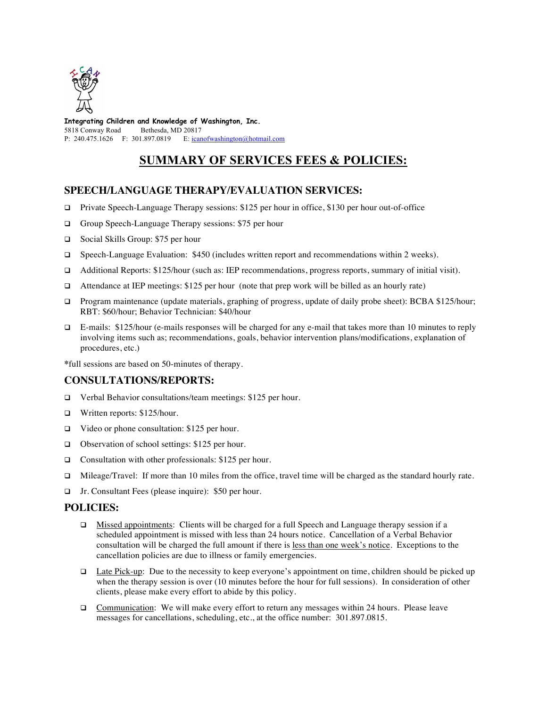

**Integrating Children and Knowledge of Washington, Inc.** 5818 Conway Road Bethesda, MD 20817 P: 240.475.1626 F: 301.897.0819 E: icanofwashington@hotmail.com

# **SUMMARY OF SERVICES FEES & POLICIES:**

## **SPEECH/LANGUAGE THERAPY/EVALUATION SERVICES:**

- $\Box$  Private Speech-Language Therapy sessions: \$125 per hour in office, \$130 per hour out-of-office
- □ Group Speech-Language Therapy sessions: \$75 per hour
- q Social Skills Group: \$75 per hour
- □ Speech-Language Evaluation: \$450 (includes written report and recommendations within 2 weeks).
- q Additional Reports: \$125/hour (such as: IEP recommendations, progress reports, summary of initial visit).
- $\Box$  Attendance at IEP meetings: \$125 per hour (note that prep work will be billed as an hourly rate)
- □ Program maintenance (update materials, graphing of progress, update of daily probe sheet): BCBA \$125/hour; RBT: \$60/hour; Behavior Technician: \$40/hour
- q E-mails: \$125/hour (e-mails responses will be charged for any e-mail that takes more than 10 minutes to reply involving items such as; recommendations, goals, behavior intervention plans/modifications, explanation of procedures, etc.)

**\***full sessions are based on 50-minutes of therapy.

### **CONSULTATIONS/REPORTS:**

- □ Verbal Behavior consultations/team meetings: \$125 per hour.
- q Written reports: \$125/hour.
- $\Box$  Video or phone consultation: \$125 per hour.
- $\Box$  Observation of school settings: \$125 per hour.
- $\Box$  Consultation with other professionals: \$125 per hour.
- q Mileage/Travel: If more than 10 miles from the office, travel time will be charged as the standard hourly rate.
- □ Jr. Consultant Fees (please inquire): \$50 per hour.

### **POLICIES:**

- □ Missed appointments: Clients will be charged for a full Speech and Language therapy session if a scheduled appointment is missed with less than 24 hours notice. Cancellation of a Verbal Behavior consultation will be charged the full amount if there is less than one week's notice. Exceptions to the cancellation policies are due to illness or family emergencies.
- $\Box$  Late Pick-up: Due to the necessity to keep everyone's appointment on time, children should be picked up when the therapy session is over (10 minutes before the hour for full sessions). In consideration of other clients, please make every effort to abide by this policy.
- $\Box$  Communication: We will make every effort to return any messages within 24 hours. Please leave messages for cancellations, scheduling, etc., at the office number: 301.897.0815.